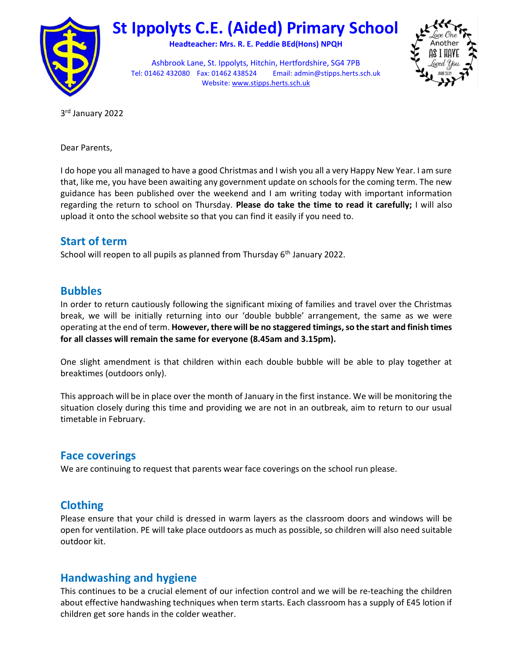

# St Ippolyts C.E. (Aided) Primary School

Headteacher: Mrs. R. E. Peddie BEd(Hons) NPQH

Ashbrook Lane, St. Ippolyts, Hitchin, Hertfordshire, SG4 7PB Tel: 01462 432080 Fax: 01462 438524 Email: admin@stipps.herts.sch.uk Website: www.stipps.herts.sch.uk



3 rd January 2022

Dear Parents,

I do hope you all managed to have a good Christmas and I wish you all a very Happy New Year. I am sure that, like me, you have been awaiting any government update on schools for the coming term. The new guidance has been published over the weekend and I am writing today with important information regarding the return to school on Thursday. Please do take the time to read it carefully; I will also upload it onto the school website so that you can find it easily if you need to.

# Start of term

School will reopen to all pupils as planned from Thursday 6<sup>th</sup> January 2022.

# Bubbles

In order to return cautiously following the significant mixing of families and travel over the Christmas break, we will be initially returning into our 'double bubble' arrangement, the same as we were operating at the end of term. However, there will be no staggered timings, so the start and finish times for all classes will remain the same for everyone (8.45am and 3.15pm).

One slight amendment is that children within each double bubble will be able to play together at breaktimes (outdoors only).

This approach will be in place over the month of January in the first instance. We will be monitoring the situation closely during this time and providing we are not in an outbreak, aim to return to our usual timetable in February.

# Face coverings

We are continuing to request that parents wear face coverings on the school run please.

# Clothing

Please ensure that your child is dressed in warm layers as the classroom doors and windows will be open for ventilation. PE will take place outdoors as much as possible, so children will also need suitable outdoor kit.

# Handwashing and hygiene

This continues to be a crucial element of our infection control and we will be re-teaching the children about effective handwashing techniques when term starts. Each classroom has a supply of E45 lotion if children get sore hands in the colder weather.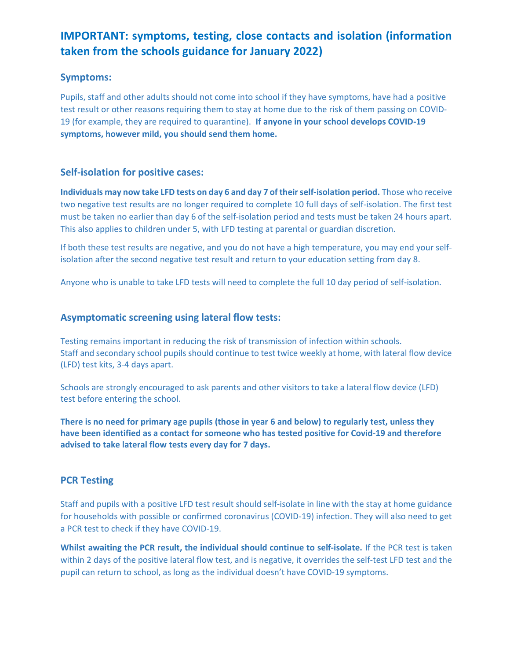# IMPORTANT: symptoms, testing, close contacts and isolation (information taken from the schools guidance for January 2022)

### Symptoms:

Pupils, staff and other adults should not come into school if they have symptoms, have had a positive test result or other reasons requiring them to stay at home due to the risk of them passing on COVID-19 (for example, they are required to quarantine). If anyone in your school develops COVID-19 symptoms, however mild, you should send them home.

### Self-isolation for positive cases:

Individuals may now take LFD tests on day 6 and day 7 of their self-isolation period. Those who receive two negative test results are no longer required to complete 10 full days of self-isolation. The first test must be taken no earlier than day 6 of the self-isolation period and tests must be taken 24 hours apart. This also applies to children under 5, with LFD testing at parental or guardian discretion.

If both these test results are negative, and you do not have a high temperature, you may end your selfisolation after the second negative test result and return to your education setting from day 8.

Anyone who is unable to take LFD tests will need to complete the full 10 day period of self-isolation.

### Asymptomatic screening using lateral flow tests:

Testing remains important in reducing the risk of transmission of infection within schools. Staff and secondary school pupils should continue to test twice weekly at home, with lateral flow device (LFD) test kits, 3-4 days apart.

Schools are strongly encouraged to ask parents and other visitors to take a lateral flow device (LFD) test before entering the school.

There is no need for primary age pupils (those in year 6 and below) to regularly test, unless they have been identified as a contact for someone who has tested positive for Covid-19 and therefore advised to take lateral flow tests every day for 7 days.

### PCR Testing

Staff and pupils with a positive LFD test result should self-isolate in line with the stay at home guidance for households with possible or confirmed coronavirus (COVID-19) infection. They will also need to get a PCR test to check if they have COVID-19.

Whilst awaiting the PCR result, the individual should continue to self-isolate. If the PCR test is taken within 2 days of the positive lateral flow test, and is negative, it overrides the self-test LFD test and the pupil can return to school, as long as the individual doesn't have COVID-19 symptoms.